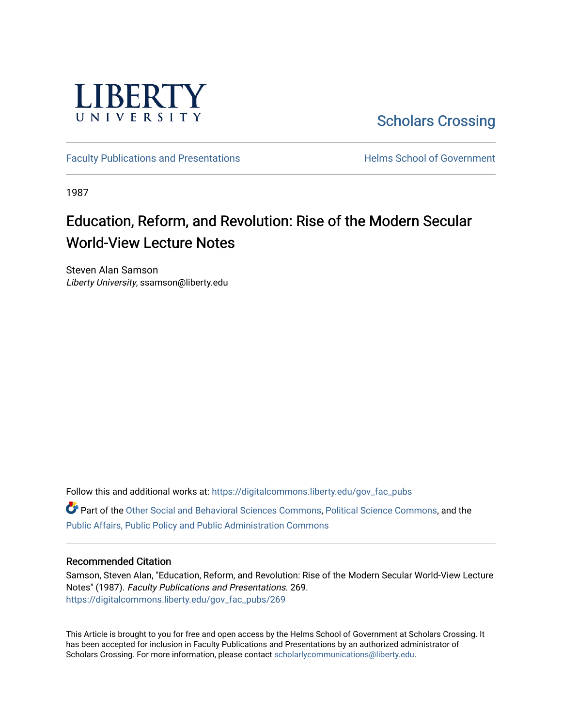

[Scholars Crossing](https://digitalcommons.liberty.edu/) 

[Faculty Publications and Presentations](https://digitalcommons.liberty.edu/gov_fac_pubs) **Exercise School of Government** 

1987

# Education, Reform, and Revolution: Rise of the Modern Secular World-View Lecture Notes

Steven Alan Samson Liberty University, ssamson@liberty.edu

Follow this and additional works at: [https://digitalcommons.liberty.edu/gov\\_fac\\_pubs](https://digitalcommons.liberty.edu/gov_fac_pubs?utm_source=digitalcommons.liberty.edu%2Fgov_fac_pubs%2F269&utm_medium=PDF&utm_campaign=PDFCoverPages) Part of the [Other Social and Behavioral Sciences Commons](http://network.bepress.com/hgg/discipline/437?utm_source=digitalcommons.liberty.edu%2Fgov_fac_pubs%2F269&utm_medium=PDF&utm_campaign=PDFCoverPages), [Political Science Commons](http://network.bepress.com/hgg/discipline/386?utm_source=digitalcommons.liberty.edu%2Fgov_fac_pubs%2F269&utm_medium=PDF&utm_campaign=PDFCoverPages), and the [Public Affairs, Public Policy and Public Administration Commons](http://network.bepress.com/hgg/discipline/393?utm_source=digitalcommons.liberty.edu%2Fgov_fac_pubs%2F269&utm_medium=PDF&utm_campaign=PDFCoverPages)

## Recommended Citation

Samson, Steven Alan, "Education, Reform, and Revolution: Rise of the Modern Secular World-View Lecture Notes" (1987). Faculty Publications and Presentations. 269. [https://digitalcommons.liberty.edu/gov\\_fac\\_pubs/269](https://digitalcommons.liberty.edu/gov_fac_pubs/269?utm_source=digitalcommons.liberty.edu%2Fgov_fac_pubs%2F269&utm_medium=PDF&utm_campaign=PDFCoverPages)

This Article is brought to you for free and open access by the Helms School of Government at Scholars Crossing. It has been accepted for inclusion in Faculty Publications and Presentations by an authorized administrator of Scholars Crossing. For more information, please contact [scholarlycommunications@liberty.edu.](mailto:scholarlycommunications@liberty.edu)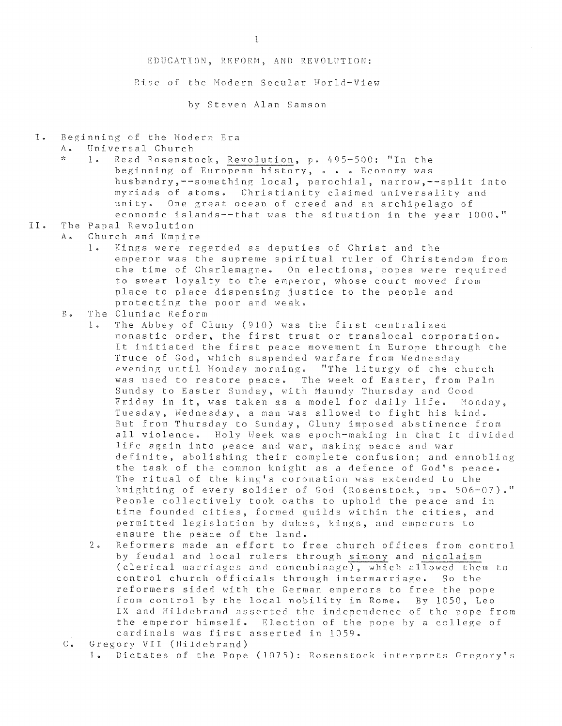### EDUCATION, REFORM, AND REVOLUTION:

Rise of the Modern Secular World-View

hy Steven Alan Samson

I. Beginning of the Modern Era

A. Universal Church<br>\* 1. Read Rosenst

1. Read Rosenstock, Revolution, p. 495-500: "In the beginning of European history, . . . Economy was husbandry,--something local, parochial, narrow,--split into myriads of atoms. Christianity claimed universality and unity. One great ocean of creed and an archipelago of economic islands--that was the situation in the year  $1000 \cdot$ "

# II. The Papal Revolution

- A. Church and Empire
	- 1. Kings were regarded as deputies of Christ and the emperor was the supreme spiritual ruler of Christendom from the time of Charlemagne. On elections. popes were required to swear loyalty to the emperor, whose court moved from place to place dispensing justice to the people and protecting the poor and weak.
	- B. The Cluniac Reform
		- I. The Abbey of Cluny (910) was the first centralized monastic order, the first trust or translocal corporation. It initiated the first peace movement in Europe through the Truce of God, which suspended warfare from Wednesday evening until Monday morning. "The liturgy of the church was used to restore peace. The week of Easter, from Palm Sunday to Easter Sunday, with Maundy Thursday and Good Friday in it, was taken as a model for daily life. Monday, Tuesday, Wednesday, a man was allowed to fight his kind. But from Thursday to Sunday, Cluny imposed abstinence from all violence. Holy Week was eooch-making in that it divided life again into peace and war, making peace and war definite, abolishing their complete confusion; and ennobling the task of the common knight as a defence of God's peace. The ritual of the king's coronation was extended to the knighting of every soldier of God (Rosenstock, pp. 506-07)." People collectively took oaths to uphold the peace and in time founded cities, formed guilds within the cities, and permitted legislation by dukes, kings, and emperors to ensure the peace of the land.
		- 2. Reformers made an effort to free church offices from control by feudal and local rulers through simony and nicolaism (clerical marriages and concubinage). which allowed them to control church officials through intermarriage. So the reformers sided with the German emperors to free the pope from control by the local nobility in Rome. By 1050, Leo IX and Hildebrand asserted the independence of the pope from the emperor himself. Election of the pope by a college of cardinals was first asserted in 1059.
	- C. Gregory VII (Hildebrand)
		- 1. Dictates of the Pope (1075): Rosenstock interprets Gregory's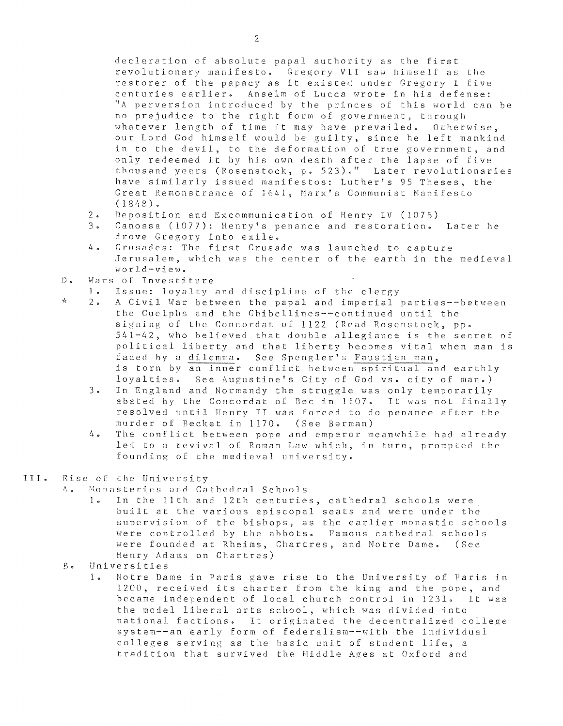declaration of absolute papal authority as the first revolutionary manifesto. Gregory VII saw himself as *the*  restorer of the papacy as it existed under Gregory I five centuries earlier. Anselm of Lucca wrote in his defense: *"A* perversion introduced by the princes of this world can be no prejudice to the right form of government, through whatever length of time it may have prevailed. Otherwise, our Lord God himself would be guilty, since he left mankind in to the devil, to the deformation of true government, and only redeemed it by his own death after the lapse of five thousand years (Rosenstock, p. 523)." Later revolutionaries have similarly issued manifestos: Luther's 95 Theses, the Great Remonstrance of 1641, Marx's Communist Manifesto  $(1848)$ .

- 2. Deposition and Excommunication of Henry IV (1076)
- Canossa (1077): Henry's penance and restoration. Later he drove Gregory into exile.
- 4. Crusades: The first Crusade was launched to capture Jerusalem, which was the center of the earth in the medieval world-view.
- D. Wars of Investiture

\*

- 1. Issue: loyalty and discipline of the clergy<br>2. A Civil War between the papal and imperial
- A Civil War between the papal and imperial parties--between the Guelphs and the Ghibellines--continued until the signing of the Concordat of 1122 (Read Rosenstock, pp. 541-42, who believed that double allegiance is the secret of political liberty and that liberty becomes vital when man is faced hy a dilemma. See Spengler's Faustian man, is torn by an inner conflict between spiritual and earthly loyalties. See Augustine's City of God vs. city of man.)
	- 3. In England and Normandy the struggle was only temporarily abated by the Concordat of Bee in 1107. It was not finally resolved until llenry II was forced to do penance after the murder of Hecket in 1170. (See Berman)
	- 4. The conflict between pope and emperor meanwhile had already led to a revival of Roman Law which, in turn, prompted the founding of the medieval university.

#### I I I • Rise of the University

- A. Monasteries and Cathedral Schools
	- 1. In the 11th and 12th centuries, cathedral schools were built at the various episcopal seats and were under the supervision of the bishops, as the earlier monastic schools were controlled by the abbots. Famous cathedral schools were founded at Rheims, Chartres, and Notre Dame. (See Henry Adams on Chartres)
- B. Universities
	- 1. Notre Dame in Paris gave rise to the University of Paris in 1200, received its charter from the king and the pope, and<br>became independent of local church control in 1231. It was became independent of local church control in 1231. the model liberal arts school, which was divided into national factions. It originated the decentralized college system--an early form of federalism--with the individual colleges serving as the basic unit of student life, a tradition that survived the Middle Ages at Oxford and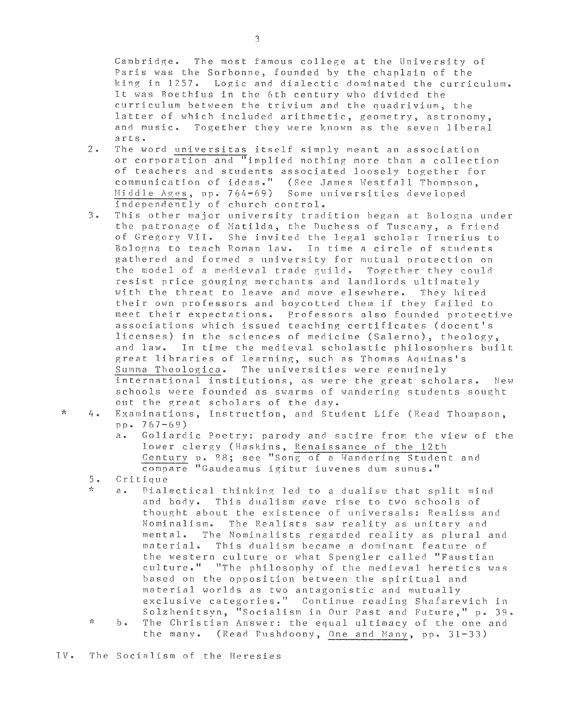Cambridge. The most famous college at the University of Paris was the Sorbonne, founded by the chaplain of the king in 1257. Logic and dialectic dominated the curriculum. It was Soethius in the 6th century who divided the curriculum between the trivium and the quadrivium, the latter of which included arithmetic, geometry, astronomy, and music. Together they were known as the seven liberal arts.

- 2. The word universitas itself Simply meant an association or corporation and "implied nothing more than a collection of teachers and students associated loosely together for<br>communication of ideas." (See James Westfall Thompson, (See James Westfall Thompson, Middle Ages, pp. 764-69) Some universities developed independently of church control.
- 3. This other major university tradition began at Bologna under the patronage of Matilda, the Duchess of Tuscany, a friend *oE* Gregory VII. She invited the legal scholar Irnerius to Bologna to teach Roman law. In time a circle of students gathered and formed a university for mutual protection on the model of a medieval trade guild. Together they could resist price gouging merchants and landlords ultimately with the threat to leave and move elsewhere. They hired their own professors and boycotted them if they failed to meet their expectations. Professors also founded protective associations which issued teaching certificates (docent's licenses) in the sciences of medicine (Salerno), theology, and law. In time the medieval scholastic philosophers built great libraries of learning, such as Thomas Aquinas's Summa Theologica. The universities were genuinely international institutions, as were the great scholars. New schools were founded as swarms of wandering students sought out the great scholars of the day.
- \*

4 • Examinations, Instruction, and Student Life (Read Thompson, pr. 767-69)

- a. Goliardic Poetry: parody and satire from the view of the lower clergy (Haskins, Renaissance of the 12th Century p. 88; see "Song of a Wandering Student and compare "Gaudeamus igitur iuvenes dum sumus."
- *5.* Critique
- a Dialectical thinking led to a dualism that split mind and body. This dualism gave rise to two schools of thought about the existence of universals: Realism and Nominalism. The Realists saw reality as unitary and mental. The Nominalists regarded reality as plural and material. This dualism became a dominant Eeature of the western culture or what Spengler called "Faustian culture." "The philosophy of the medieval heretics was based on the opposition between the spiritual and material worlds as two antagonistic and mutually exclusive categories." Continue reading Shafarevich in Solzhenitsyn, "Socialism in Our Past and Future," p. 39.  $\frac{1}{2C}$  $b \bullet$ The Christian Answer: the equal ultimacy of the one and
	- the many. (Read Rushdoony, One and Many, pp.  $31-33$ )
- IV. The Socialism of the Heresies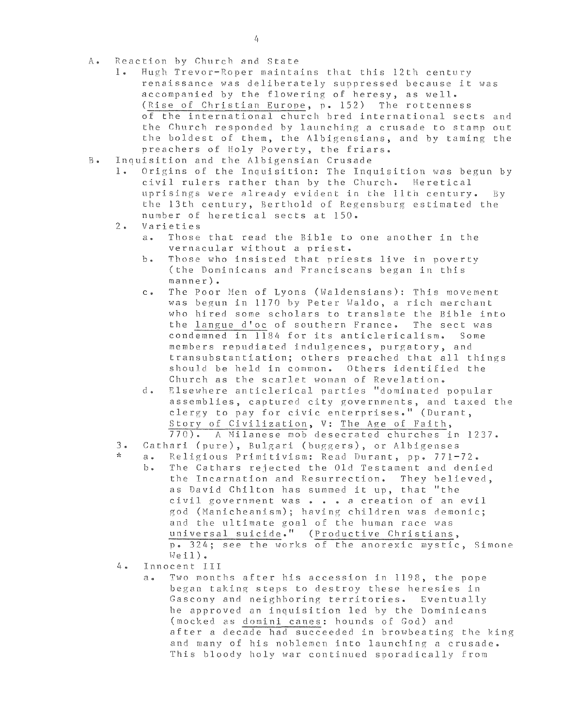- A. Reaction by Church and State<br>1. Hugh Trevor-Roper mainta
	- Hugh Trevor-Roper maintains that this 12th century renaissance was deliherately suppressed because it was accompanied by the flowering of heresy, as well. (Rise of Christian Europe, p. 152) The rottenness of the international church hred international sects and the Church responded by launching a crusade to stamp out the boldest of them, the Albigensians, and by taming the preachers of Holy Poverty. the friars.
- B. Inquisition and the Albigensian Crusade
	- Origins of the Inquisition: The Inquisition was begun by civil rulers rather than by the Church. Heretical uprisings were already evident in the llth century. By the 13th century. Berthold of Regensburg estimated the number of heretical sects at ISO.
	- $2\cdot$ Varieties
		- a. Those that read the Bible to one another in the vernacular without a priest.
		- b. Those who insisted that priests live in poverty (the Dominicans and Franciscans began in this manner).
		- c. The Poor Hen of Lyons (Haldensians): This movement was begun in 1170 by Peter Waldo, a rich merchant who hired some scholars to translate the Bible into the langue d'oc of southern France. The sect was condemned in 1184 for its anticlericalism. Some members repudiated indulgences, purgatory, and transubstantiation; others preached that all things should be held in common. Others identified the Church as the scarlet woman of Revelation.
		- d. Elsewhere anticlerical parties "dominated popular assemblies, captured city governments, and taxed the clergy to pay for civic enterprises." (Durant, Story of Civilization, V: The Age of Faith,<br>770). A Milanese mob desecrated churches i A Milanese mob desecrated churches in 1237.
	- 3 Cathari (pure), Bulgari (buggers), or Albigenses
	- \*
		- a. Religious Primitivism: Read Durant, pp. 771-72. The Cathars rejected the Old Testament and denied the Incarnation and Resurrection. They believed, as David Chilton has summed it up, that "the civil government was a creation of an evil god (Manicheanism); having children was demonic; and the ultimate goal of the human race was universal suicide." (Productive Christians, D. 324; see the works of the anorexic mystic, Simone  $Weil$ ).
	- 4. Innocent III
		- a. Two months after his accession in 1198, the pope began taking steps to destroy these heresies in Gascony and neighboring territories. Eventually he approved an inquisition led hy the Dominicans (mocked as domini canes: hounds of God) and after a decade had succeeded in browbeating the king and many of his noblemen into launching a crusade. This bloody holy war continued sporadically from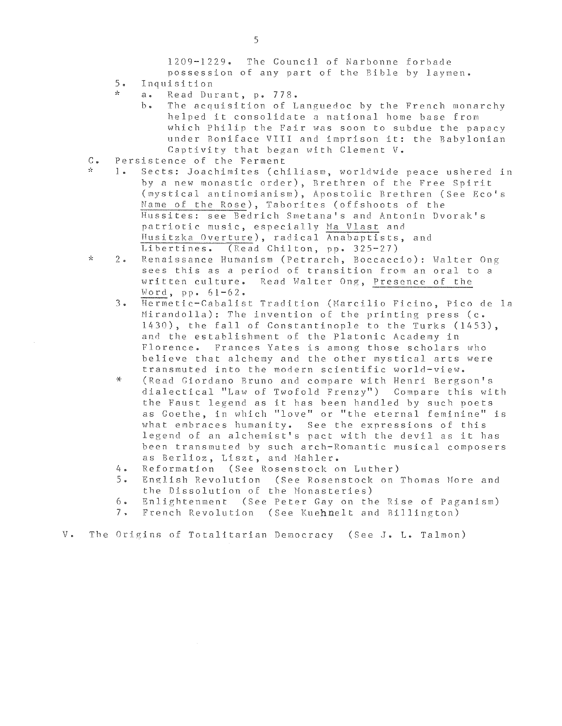1209-1229. The Council of Narbonne forbade

- possession of any part of the Bible by laymen.
- 5 Inquisition
	- a. Read Durant, p. 778.
		- The acquisition of Languedoc by the French monarchy helped it consolidate a national home base from which Philip the Fair was soon to subdue the papacy under Boniface VIII and imorison it: the Babylonian Captivity that began with Clement V.
- $C_{\bullet}$ Persistence of the Ferment<br>1. Sects: Joachimites (ch
- Sects: Joachimites (chiliasm, worldwide peace ushered in by a new monastic order), Brethren of the Free Spirit (mystical antinomianism), Apostolic Brethren (See Eco's Name of the Rose), Taborites (offshoots of the Hussites: see Bedrich Smetana's and Antonin Dyorak's patriotic music, especially Ma Vlast and Husitzka Overture), radical Anabaptists, and<br>Libertines. (Read Chilton, pp. 325-27)  $(Read Chilton, pp. 325-27)$
- $\mathcal{A}_\mathcal{C}$ 2 • Renaissance Humanism (Petrarch, Boccaccio): Walter Ong sees this as a period of transition from an oral to a written culture. Read Walter Ong, Presence of the Word, pp.  $61 - 62$ .
	- 3. Hermetic-Cabalist Tradition (Marcilio Ficino, Pico de Ie Mirandolla): The invention of the printing press (c. 1430), the fall of Constantinople to the Turks (1453), and the establishment of the Platonic Academy in Florence. Frances Yates is among those scholars who believe that alchemy and the other mystical arts were transmuted into the modern scientific world-view.
	- \* (Read Giordano Bruno and compare with Henri Bergson's dialectical "Law of Twofold Frenzyn) Compare this *vlith*  the Faust legend as it has been handled by such poets as Goethe, in which "love" or "the eternal feminine" is what embraces humanity. See the expressions of this legend of an alchemist's pact with the devil as it has been transmuted by such arch-Romantic musical composers as Berlioz, Liszt, and Mahler.
	- 4. Reformation (See Rosenstock on Luther)<br>5. English Revolution (See Rosenstock on
	- 5. English Revolution (See Rosenstock on Thomas More and the Dissolution of the Monasteries)
	- 6. Enlightenment (See Peter Gay on the Rise of Paganism)<br>7. French Revolution (See Kuehnelt and Billington)
	- French Revolution (See Kuehnelt and Billington)

### $V$   $\bullet$ The Origins of Totalitarian Democracy (See J. L. Talmon)